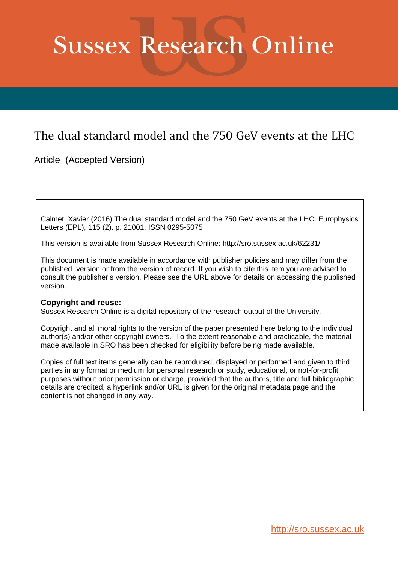# **Sussex Research Online**

## The dual standard model and the 750 GeV events at the LHC

Article (Accepted Version)

Calmet, Xavier (2016) The dual standard model and the 750 GeV events at the LHC. Europhysics Letters (EPL), 115 (2). p. 21001. ISSN 0295-5075

This version is available from Sussex Research Online: http://sro.sussex.ac.uk/62231/

This document is made available in accordance with publisher policies and may differ from the published version or from the version of record. If you wish to cite this item you are advised to consult the publisher's version. Please see the URL above for details on accessing the published version.

#### **Copyright and reuse:**

Sussex Research Online is a digital repository of the research output of the University.

Copyright and all moral rights to the version of the paper presented here belong to the individual author(s) and/or other copyright owners. To the extent reasonable and practicable, the material made available in SRO has been checked for eligibility before being made available.

Copies of full text items generally can be reproduced, displayed or performed and given to third parties in any format or medium for personal research or study, educational, or not-for-profit purposes without prior permission or charge, provided that the authors, title and full bibliographic details are credited, a hyperlink and/or URL is given for the original metadata page and the content is not changed in any way.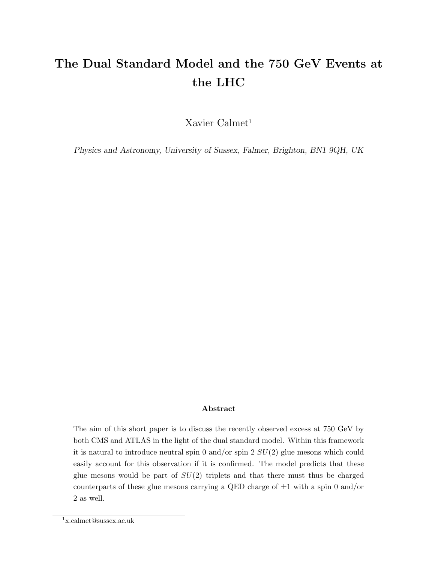## The Dual Standard Model and the 750 GeV Events at the LHC

Xavier Calmet<sup>1</sup>

Physics and Astronomy, University of Sussex, Falmer, Brighton, BN1 9QH, UK

#### Abstract

The aim of this short paper is to discuss the recently observed excess at 750 GeV by both CMS and ATLAS in the light of the dual standard model. Within this framework it is natural to introduce neutral spin 0 and/or spin 2  $SU(2)$  glue mesons which could easily account for this observation if it is confirmed. The model predicts that these glue mesons would be part of  $SU(2)$  triplets and that there must thus be charged counterparts of these glue mesons carrying a QED charge of  $\pm 1$  with a spin 0 and/or 2 as well.

<sup>1</sup>x.calmet@sussex.ac.uk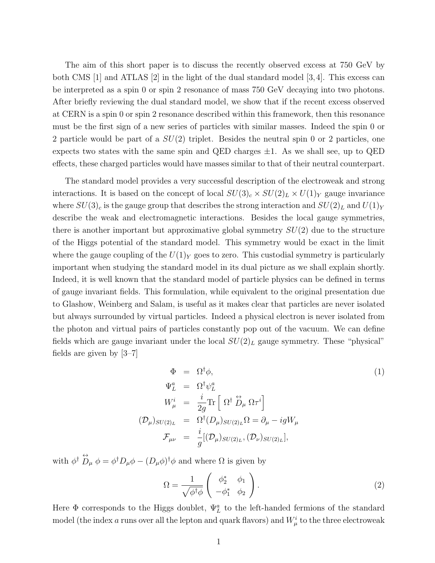The aim of this short paper is to discuss the recently observed excess at 750 GeV by both CMS  $[1]$  and ATLAS  $[2]$  in the light of the dual standard model  $[3,4]$ . This excess can be interpreted as a spin 0 or spin 2 resonance of mass 750 GeV decaying into two photons. After briefly reviewing the dual standard model, we show that if the recent excess observed at CERN is a spin 0 or spin 2 resonance described within this framework, then this resonance must be the first sign of a new series of particles with similar masses. Indeed the spin 0 or 2 particle would be part of a  $SU(2)$  triplet. Besides the neutral spin 0 or 2 particles, one expects two states with the same spin and QED charges  $\pm 1$ . As we shall see, up to QED effects, these charged particles would have masses similar to that of their neutral counterpart.

The standard model provides a very successful description of the electroweak and strong interactions. It is based on the concept of local  $SU(3)_c \times SU(2)_L \times U(1)_Y$  gauge invariance where  $SU(3)_c$  is the gauge group that describes the strong interaction and  $SU(2)_L$  and  $U(1)_Y$ describe the weak and electromagnetic interactions. Besides the local gauge symmetries, there is another important but approximative global symmetry  $SU(2)$  due to the structure of the Higgs potential of the standard model. This symmetry would be exact in the limit where the gauge coupling of the  $U(1)_Y$  goes to zero. This custodial symmetry is particularly important when studying the standard model in its dual picture as we shall explain shortly. Indeed, it is well known that the standard model of particle physics can be defined in terms of gauge invariant fields. This formulation, while equivalent to the original presentation due to Glashow, Weinberg and Salam, is useful as it makes clear that particles are never isolated but always surrounded by virtual particles. Indeed a physical electron is never isolated from the photon and virtual pairs of particles constantly pop out of the vacuum. We can define fields which are gauge invariant under the local  $SU(2)_L$  gauge symmetry. These "physical" fields are given by  $|3-7|$ 

$$
\Phi = \Omega^{\dagger} \phi,
$$
\n
$$
\Psi_L^a = \Omega^{\dagger} \psi_L^a
$$
\n
$$
W_{\mu}^i = \frac{i}{2g} \text{Tr} \left[ \Omega^{\dagger} \stackrel{\leftrightarrow}{D}_{\mu} \Omega \tau^i \right]
$$
\n
$$
(\mathcal{D}_{\mu})_{SU(2)_L} = \Omega^{\dagger} (D_{\mu})_{SU(2)_L} \Omega = \partial_{\mu} - igW_{\mu}
$$
\n
$$
\mathcal{F}_{\mu\nu} = \frac{i}{g} [(\mathcal{D}_{\mu})_{SU(2)_L}, (\mathcal{D}_{\nu})_{SU(2)_L}],
$$
\n
$$
(1)
$$

with  $\phi^{\dagger} \stackrel{\leftrightarrow}{D}_{\mu} \phi = \phi^{\dagger} D_{\mu} \phi - (D_{\mu} \phi)^{\dagger} \phi$  and where  $\Omega$  is given by

$$
\Omega = \frac{1}{\sqrt{\phi^{\dagger}\phi}} \begin{pmatrix} \phi_2^* & \phi_1 \\ -\phi_1^* & \phi_2 \end{pmatrix} . \tag{2}
$$

Here  $\Phi$  corresponds to the Higgs doublet,  $\Psi_L^a$  to the left-handed fermions of the standard model (the index  $a$  runs over all the lepton and quark flavors) and  $W^i_\mu$  to the three electroweak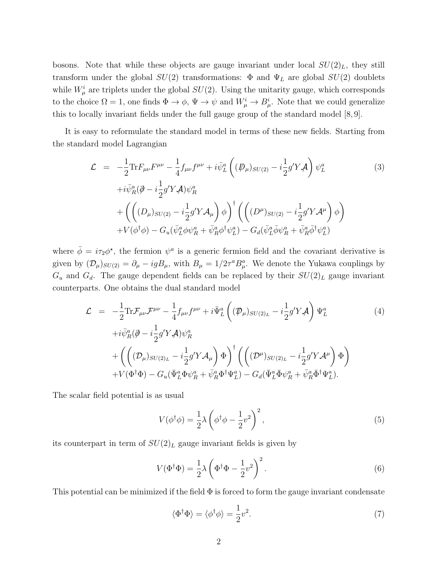bosons. Note that while these objects are gauge invariant under local  $SU(2)_L$ , they still transform under the global  $SU(2)$  transformations:  $\Phi$  and  $\Psi_L$  are global  $SU(2)$  doublets while  $W^i_\mu$  are triplets under the global  $SU(2)$ . Using the unitarity gauge, which corresponds to the choice  $\Omega = 1$ , one finds  $\Phi \to \phi$ ,  $\Psi \to \psi$  and  $W^i_\mu \to B^i_\mu$ . Note that we could generalize this to locally invariant fields under the full gauge group of the standard model [8, 9].

It is easy to reformulate the standard model in terms of these new fields. Starting from the standard model Lagrangian

$$
\mathcal{L} = -\frac{1}{2} \text{Tr} F_{\mu\nu} F^{\mu\nu} - \frac{1}{4} f_{\mu\nu} f^{\mu\nu} + i \bar{\psi}_L^a \left( (\mathcal{P}_{\mu})_{SU(2)} - i \frac{1}{2} g' Y \mathcal{A} \right) \psi_L^a
$$
\n
$$
+ i \bar{\psi}_R^a (\partial - i \frac{1}{2} g' Y \mathcal{A}) \psi_R^a
$$
\n
$$
+ \left( \left( (D_{\mu})_{SU(2)} - i \frac{1}{2} g' Y \mathcal{A}_{\mu} \right) \phi \right)^{\dagger} \left( \left( (D^{\mu})_{SU(2)} - i \frac{1}{2} g' Y \mathcal{A}^{\mu} \right) \phi \right)
$$
\n
$$
+ V(\phi^{\dagger} \phi) - G_u (\bar{\psi}_L^a \phi \psi_R^a + \bar{\psi}_R^a \phi^{\dagger} \psi_L^a) - G_d (\bar{\psi}_L^a \bar{\phi} \psi_R^a + \bar{\psi}_R^a \bar{\phi}^{\dagger} \psi_L^a)
$$
\n(3)

where  $\bar{\phi} = i\tau_2 \phi^*$ , the fermion  $\psi^a$  is a generic fermion field and the covariant derivative is given by  $(\mathcal{D}_{\mu})_{SU(2)} = \partial_{\mu} - igB_{\mu}$ , with  $B_{\mu} = 1/2\tau^a B_{\mu}^a$ . We denote the Yukawa couplings by  $G_u$  and  $G_d$ . The gauge dependent fields can be replaced by their  $SU(2)_L$  gauge invariant counterparts. One obtains the dual standard model

$$
\mathcal{L} = -\frac{1}{2} \text{Tr} \mathcal{F}_{\mu\nu} \mathcal{F}^{\mu\nu} - \frac{1}{4} f_{\mu\nu} f^{\mu\nu} + i \bar{\Psi}_L^a \left( (\mathcal{P}_{\mu})_{SU(2)_L} - i \frac{1}{2} g' Y \mathcal{A} \right) \Psi_L^a
$$
\n
$$
+ i \bar{\psi}_R^a (\partial - i \frac{1}{2} g' Y \mathcal{A}) \psi_R^a
$$
\n
$$
+ \left( \left( (\mathcal{D}_{\mu})_{SU(2)_L} - i \frac{1}{2} g' Y \mathcal{A}_{\mu} \right) \Phi \right)^{\dagger} \left( \left( (\mathcal{D}^{\mu})_{SU(2)_L} - i \frac{1}{2} g' Y \mathcal{A}^{\mu} \right) \Phi \right)
$$
\n
$$
+ V(\Phi^{\dagger} \Phi) - G_u (\bar{\Psi}_L^a \Phi \psi_R^a + \bar{\psi}_R^a \Phi^{\dagger} \Psi_L^a) - G_d (\bar{\Psi}_L^a \bar{\Phi} \psi_R^a + \bar{\psi}_R^a \bar{\Phi}^{\dagger} \Psi_L^a).
$$
\n(4)

The scalar field potential is as usual

$$
V(\phi^{\dagger}\phi) = \frac{1}{2}\lambda \left(\phi^{\dagger}\phi - \frac{1}{2}v^2\right)^2,\tag{5}
$$

its counterpart in term of  $SU(2)_L$  gauge invariant fields is given by

$$
V(\Phi^{\dagger}\Phi) = \frac{1}{2}\lambda \left(\Phi^{\dagger}\Phi - \frac{1}{2}v^2\right)^2.
$$
 (6)

This potential can be minimized if the field  $\Phi$  is forced to form the gauge invariant condensate

$$
\langle \Phi^{\dagger} \Phi \rangle = \langle \phi^{\dagger} \phi \rangle = \frac{1}{2} v^2. \tag{7}
$$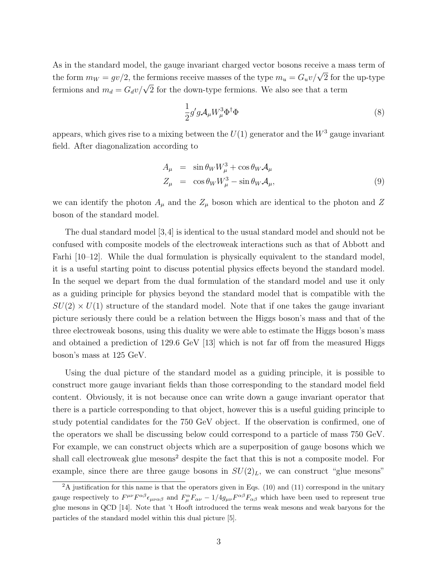As in the standard model, the gauge invariant charged vector bosons receive a mass term of the form  $m_W = gv/2$ , the fermions receive masses of the type  $m_u = G_u v / \sqrt{2}$  for the up-type fermions and  $m_d = G_d v / \sqrt{2}$  for the down-type fermions. We also see that a term

$$
\frac{1}{2}g'g\mathcal{A}_{\mu}W_{\mu}^{3}\Phi^{\dagger}\Phi\tag{8}
$$

appears, which gives rise to a mixing between the  $U(1)$  generator and the  $W^3$  gauge invariant field. After diagonalization according to

$$
A_{\mu} = \sin \theta_W W_{\mu}^3 + \cos \theta_W A_{\mu}
$$
  
\n
$$
Z_{\mu} = \cos \theta_W W_{\mu}^3 - \sin \theta_W A_{\mu},
$$
\n(9)

we can identify the photon  $A_\mu$  and the  $Z_\mu$  boson which are identical to the photon and Z boson of the standard model.

The dual standard model [3,4] is identical to the usual standard model and should not be confused with composite models of the electroweak interactions such as that of Abbott and Farhi [10–12]. While the dual formulation is physically equivalent to the standard model, it is a useful starting point to discuss potential physics effects beyond the standard model. In the sequel we depart from the dual formulation of the standard model and use it only as a guiding principle for physics beyond the standard model that is compatible with the  $SU(2) \times U(1)$  structure of the standard model. Note that if one takes the gauge invariant picture seriously there could be a relation between the Higgs boson's mass and that of the three electroweak bosons, using this duality we were able to estimate the Higgs boson's mass and obtained a prediction of 129.6 GeV [13] which is not far off from the measured Higgs boson's mass at 125 GeV.

Using the dual picture of the standard model as a guiding principle, it is possible to construct more gauge invariant fields than those corresponding to the standard model field content. Obviously, it is not because once can write down a gauge invariant operator that there is a particle corresponding to that object, however this is a useful guiding principle to study potential candidates for the 750 GeV object. If the observation is confirmed, one of the operators we shall be discussing below could correspond to a particle of mass 750 GeV. For example, we can construct objects which are a superposition of gauge bosons which we shall call electroweak glue mesons<sup>2</sup> despite the fact that this is not a composite model. For example, since there are three gauge bosons in  $SU(2)_L$ , we can construct "glue mesons"

 ${}^{2}$ A justification for this name is that the operators given in Eqs. (10) and (11) correspond in the unitary gauge respectively to  $F^{\mu\nu}F^{\alpha\beta} \epsilon_{\mu\nu\alpha\beta}$  and  $F^{\alpha}_{\mu}F_{\alpha\nu} - 1/4g_{\mu\nu}F^{\alpha\beta}F_{\alpha\beta}$  which have been used to represent true glue mesons in QCD [14]. Note that 't Hooft introduced the terms weak mesons and weak baryons for the particles of the standard model within this dual picture [5].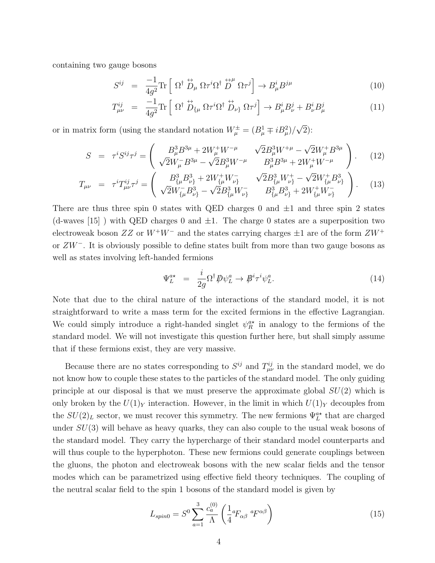containing two gauge bosons

$$
S^{ij} = \frac{-1}{4g^2} \text{Tr} \left[ \Omega^{\dagger} \stackrel{\leftrightarrow}{D}_{\mu} \Omega \tau^i \Omega^{\dagger} \stackrel{\leftrightarrow \mu}{D}^{\mu} \Omega \tau^j \right] \to B^{i}_{\mu} B^{j\mu} \tag{10}
$$

$$
T^{ij}_{\mu\nu} = \frac{-1}{4g^2} \text{Tr} \left[ \Omega^{\dagger} \stackrel{\leftrightarrow}{D}_{\{\mu} \Omega} \tau^i \Omega^{\dagger} \stackrel{\leftrightarrow}{D}_{\nu} \Omega \tau^j \right] \to B^i_{\mu} B^j_{\nu} + B^i_{\nu} B^j_{\mu}
$$
 (11)

or in matrix form (using the standard notation  $W^{\pm}_{\mu} = (B^{1}_{\mu} \mp iB^{2}_{\mu})/\sqrt{2}$ ):

$$
S = \tau^i S^{ij} \tau^j = \begin{pmatrix} B_\mu^3 B^{3\mu} + 2W_\mu^+ W^{-\mu} & \sqrt{2} B_\mu^3 W^{+\mu} - \sqrt{2} W_\mu^+ B^{3\mu} \\ \sqrt{2} W_\mu^- B^{3\mu} - \sqrt{2} B_\mu^3 W^{-\mu} & B_\mu^3 B^{3\mu} + 2W_\mu^+ W^{-\mu} \end{pmatrix}.
$$
 (12)

$$
T_{\mu\nu} = \tau^i T^{ij}_{\mu\nu} \tau^j = \begin{pmatrix} B^3_{\{\mu} B^3_{\nu\}} + 2W^+_{\{\mu} W^-_{\nu\}} & \sqrt{2} B^3_{\{\mu} W^+_{\nu\}} - \sqrt{2} W^+_{\{\mu} B^3_{\nu\}} \\ \sqrt{2} W^-_{\{\mu} B^3_{\nu\}} - \sqrt{2} B^3_{\{\mu} W^-_{\nu\}} & B^3_{\{\mu} B^3_{\nu\}} + 2W^+_{\{\mu} W^-_{\nu\}} \end{pmatrix} . \tag{13}
$$

There are thus three spin 0 states with QED charges 0 and  $\pm 1$  and three spin 2 states (d-waves [15]) with QED charges 0 and  $\pm 1$ . The charge 0 states are a superposition two electroweak boson  $ZZ$  or  $W^+W^-$  and the states carrying charges  $\pm 1$  are of the form  $ZW^+$ or ZW<sup>−</sup>. It is obviously possible to define states built from more than two gauge bosons as well as states involving left-handed fermions

$$
\Psi_L^{a*} = \frac{i}{2g} \Omega^{\dagger} \not\!\! D \psi_L^a \to \not\!\! B^i \tau^i \psi_L^a. \tag{14}
$$

Note that due to the chiral nature of the interactions of the standard model, it is not straightforward to write a mass term for the excited fermions in the effective Lagrangian. We could simply introduce a right-handed singlet  $\psi_R^{\alpha\star}$  in analogy to the fermions of the standard model. We will not investigate this question further here, but shall simply assume that if these fermions exist, they are very massive.

Because there are no states corresponding to  $S^{ij}$  and  $T^{ij}_{\mu\nu}$  in the standard model, we do not know how to couple these states to the particles of the standard model. The only guiding principle at our disposal is that we must preserve the approximate global  $SU(2)$  which is only broken by the  $U(1)_Y$  interaction. However, in the limit in which  $U(1)_Y$  decouples from the  $SU(2)_L$  sector, we must recover this symmetry. The new fermions  $\Psi_L^{a*}$  that are charged under  $SU(3)$  will behave as heavy quarks, they can also couple to the usual weak bosons of the standard model. They carry the hypercharge of their standard model counterparts and will thus couple to the hyperphoton. These new fermions could generate couplings between the gluons, the photon and electroweak bosons with the new scalar fields and the tensor modes which can be parametrized using effective field theory techniques. The coupling of the neutral scalar field to the spin 1 bosons of the standard model is given by

$$
L_{spin0} = S^0 \sum_{a=1}^3 \frac{c_a^{(0)}}{\Lambda} \left(\frac{1}{4} a_{\alpha\beta} a_{\beta\alpha} \right) \tag{15}
$$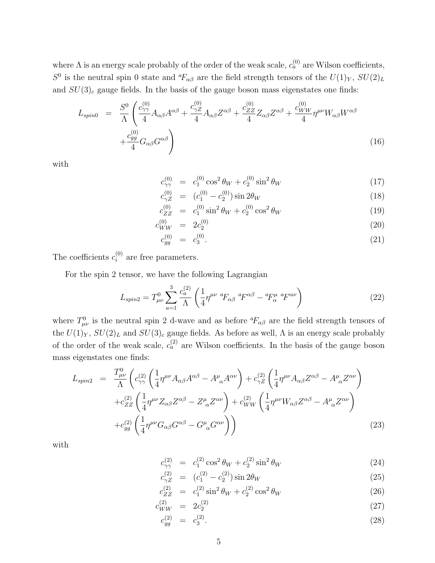where  $\Lambda$  is an energy scale probably of the order of the weak scale,  $c_a^{(0)}$  are Wilson coefficients,  $S^0$  is the neutral spin 0 state and  ${}^a\!F_{\alpha\beta}$  are the field strength tensors of the  $U(1)_Y$ ,  $SU(2)_L$ and  $SU(3)_c$  gauge fields. In the basis of the gauge boson mass eigenstates one finds:

$$
L_{spin0} = \frac{S^0}{\Lambda} \left( \frac{c_{\gamma\gamma}^{(0)}}{4} A_{\alpha\beta} A^{\alpha\beta} + \frac{c_{\gamma Z}^{(0)}}{4} A_{\alpha\beta} Z^{\alpha\beta} + \frac{c_{ZZ}^{(0)}}{4} Z_{\alpha\beta} Z^{\alpha\beta} + \frac{c_{WW}^{(0)}}{4} \eta^{\mu\nu} W_{\alpha\beta} W^{\alpha\beta} + \frac{c_{gg}^{(0)}}{4} G_{\alpha\beta} G^{\alpha\beta} \right)
$$
(16)

with

$$
c_{\gamma\gamma}^{(0)} = c_1^{(0)} \cos^2 \theta_W + c_2^{(0)} \sin^2 \theta_W \tag{17}
$$

$$
c_{\gamma Z}^{(0)} = (c_1^{(0)} - c_2^{(0)}) \sin 2\theta_W \tag{18}
$$

$$
c_{ZZ}^{(0)} = c_1^{(0)} \sin^2 \theta_W + c_2^{(0)} \cos^2 \theta_W \tag{19}
$$

$$
c_{WW}^{(0)} = 2c_2^{(0)} \tag{20}
$$

$$
c_{gg}^{(0)} = c_3^{(0)}.\t\t(21)
$$

The coefficients  $c_i^{(0)}$  $i^{(0)}$  are free parameters.

For the spin 2 tensor, we have the following Lagrangian

$$
L_{spin2} = T_{\mu\nu}^0 \sum_{a=1}^3 \frac{c_a^{(2)}}{\Lambda} \left( \frac{1}{4} \eta^{\mu\nu} \, {}^aF_{\alpha\beta} \, {}^aF^{\alpha\beta} - {}^aF^{\mu}_\alpha \, {}^aF^{\alpha\nu} \right) \tag{22}
$$

where  $T_{\mu\nu}^0$  is the neutral spin 2 d-wave and as before  ${}^a\!F_{\alpha\beta}$  are the field strength tensors of the  $U(1)_Y$ ,  $SU(2)_L$  and  $SU(3)_c$  gauge fields. As before as well,  $\Lambda$  is an energy scale probably of the order of the weak scale,  $c_a^{(2)}$  are Wilson coefficients. In the basis of the gauge boson mass eigenstates one finds:

$$
L_{spin2} = \frac{T_{\mu\nu}^{0}}{\Lambda} \left( c_{\gamma\gamma}^{(2)} \left( \frac{1}{4} \eta^{\mu\nu} A_{\alpha\beta} A^{\alpha\beta} - A^{\mu}_{\alpha} A^{\alpha\nu} \right) + c_{\gamma Z}^{(2)} \left( \frac{1}{4} \eta^{\mu\nu} A_{\alpha\beta} Z^{\alpha\beta} - A^{\mu}_{\alpha} Z^{\alpha\nu} \right) \right.+ c_{ZZ}^{(2)} \left( \frac{1}{4} \eta^{\mu\nu} Z_{\alpha\beta} Z^{\alpha\beta} - Z^{\mu}_{\alpha} Z^{\alpha\nu} \right) + c_{WW}^{(2)} \left( \frac{1}{4} \eta^{\mu\nu} W_{\alpha\beta} Z^{\alpha\beta} - A^{\mu}_{\alpha} Z^{\alpha\nu} \right)+ c_{gg}^{(2)} \left( \frac{1}{4} \eta^{\mu\nu} G_{\alpha\beta} G^{\alpha\beta} - G^{\mu}_{\alpha} G^{\alpha\nu} \right)
$$
\n(23)

with

$$
c_{\gamma\gamma}^{(2)} = c_1^{(2)} \cos^2 \theta_W + c_2^{(2)} \sin^2 \theta_W \tag{24}
$$

$$
c_{\gamma Z}^{(2)} = (c_1^{(2)} - c_2^{(2)}) \sin 2\theta_W
$$
\n(25)

$$
c_{ZZ}^{(2)} = c_1^{(2)} \sin^2 \theta_W + c_2^{(2)} \cos^2 \theta_W \tag{26}
$$

$$
c_{WW}^{(2)} = 2c_2^{(2)} \tag{27}
$$

$$
c_{gg}^{(2)} = c_3^{(2)}.\t\t(28)
$$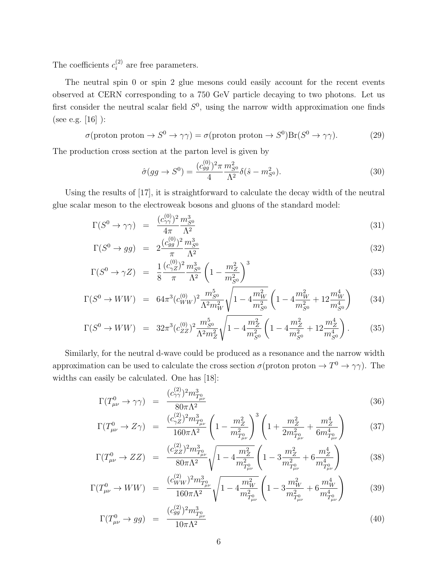The coefficients  $c_i^{(2)}$  $i^{(2)}$  are free parameters.

The neutral spin 0 or spin 2 glue mesons could easily account for the recent events observed at CERN corresponding to a 750 GeV particle decaying to two photons. Let us first consider the neutral scalar field  $S^0$ , using the narrow width approximation one finds (see e.g. [16] ):

$$
\sigma(\text{proton proton} \to S^0 \to \gamma \gamma) = \sigma(\text{proton proton} \to S^0)\text{Br}(S^0 \to \gamma \gamma). \tag{29}
$$

The production cross section at the parton level is given by

$$
\hat{\sigma}(gg \to S^0) = \frac{(c_{gg}^{(0)})^2 \pi}{4} \frac{m_{S^0}^2}{\Lambda^2} \delta(\hat{s} - m_{S^0}^2). \tag{30}
$$

Using the results of [17], it is straightforward to calculate the decay width of the neutral glue scalar meson to the electroweak bosons and gluons of the standard model:

$$
\Gamma(S^0 \to \gamma \gamma) = \frac{(c_{\gamma \gamma}^{(0)})^2}{4\pi} \frac{m_{S^0}^3}{\Lambda^2} \tag{31}
$$

$$
\Gamma(S^0 \to gg) = 2 \frac{(c_{gg}^{(0)})^2}{\pi} \frac{m_{S^0}^3}{\Lambda^2}
$$
\n(32)

$$
\Gamma(S^0 \to \gamma Z) = \frac{1}{8} \frac{(c_{\gamma Z}^{(0)})^2}{\pi} \frac{m_{S^0}^3}{\Lambda^2} \left(1 - \frac{m_Z^2}{m_{S^0}^2}\right)^3 \tag{33}
$$

$$
\Gamma(S^0 \to WW) = 64\pi^3 (c_{WW}^{(0)})^2 \frac{m_{S^0}^5}{\Lambda^2 m_W^2} \sqrt{1 - 4\frac{m_W^2}{m_{S^0}^2}} \left(1 - 4\frac{m_W^2}{m_{S^0}^2} + 12\frac{m_W^4}{m_{S^0}^4}\right) \tag{34}
$$

$$
\Gamma(S^0 \to WW) = 32\pi^3 (c_{ZZ}^{(0)})^2 \frac{m_{S^0}^5}{\Lambda^2 m_Z^2} \sqrt{1 - 4\frac{m_Z^2}{m_{S^0}^2}} \left(1 - 4\frac{m_Z^2}{m_{S^0}^2} + 12\frac{m_Z^4}{m_{S^0}^4}\right). \tag{35}
$$

Similarly, for the neutral d-wave could be produced as a resonance and the narrow width approximation can be used to calculate the cross section  $\sigma$ (proton proton  $\rightarrow T^0 \rightarrow \gamma \gamma$ ). The widths can easily be calculated. One has [18]:

$$
\Gamma(T_{\mu\nu}^{0} \to \gamma\gamma) = \frac{(c_{\gamma\gamma}^{(2)})^{2}m_{T_{\mu\nu}^{0}}^{3}}{80\pi\Lambda^{2}}
$$
\n(36)

$$
\Gamma(T_{\mu\nu}^{0} \to Z\gamma) = \frac{(c_{\gamma Z}^{(2)})^{2} m_{T_{\mu\nu}^{0}}^{3}}{160\pi\Lambda^{2}} \left(1 - \frac{m_{Z}^{2}}{m_{T_{\mu\nu}^{0}}^{2}}\right)^{3} \left(1 + \frac{m_{Z}^{2}}{2m_{T_{\mu\nu}^{0}}^{2}} + \frac{m_{Z}^{4}}{6m_{T_{\mu\nu}^{0}}^{4}}\right) \tag{37}
$$

$$
\Gamma(T_{\mu\nu}^{0} \to ZZ) = \frac{(c_{ZZ}^{(2)})^{2} m_{T_{\mu\nu}^{0}}^{3}}{80 \pi \Lambda^{2}} \sqrt{1 - 4 \frac{m_{Z}^{2}}{m_{T_{\mu\nu}^{0}}^{2}}} \left(1 - 3 \frac{m_{Z}^{2}}{m_{T_{\mu\nu}^{0}}^{2}} + 6 \frac{m_{Z}^{4}}{m_{T_{\mu\nu}^{0}}^{4}}\right)
$$
(38)

$$
\Gamma(T_{\mu\nu}^{0} \to WW) = \frac{(c_{WW}^{(2)})^{2} m_{T_{\mu\nu}^{0}}^{3}}{160\pi\Lambda^{2}} \sqrt{1 - 4\frac{m_{W}^{2}}{m_{T_{\mu\nu}^{0}}^{2}}} \left(1 - 3\frac{m_{W}^{2}}{m_{T_{\mu\nu}^{0}}^{2}} + 6\frac{m_{W}^{4}}{m_{T_{\mu\nu}^{0}}^{4}}\right)
$$
(39)

$$
\Gamma(T_{\mu\nu}^{0} \to gg) = \frac{(c_{gg}^{(2)})^{2} m_{T_{\mu\nu}^{0}}^{3}}{10\pi\Lambda^{2}}
$$
\n(40)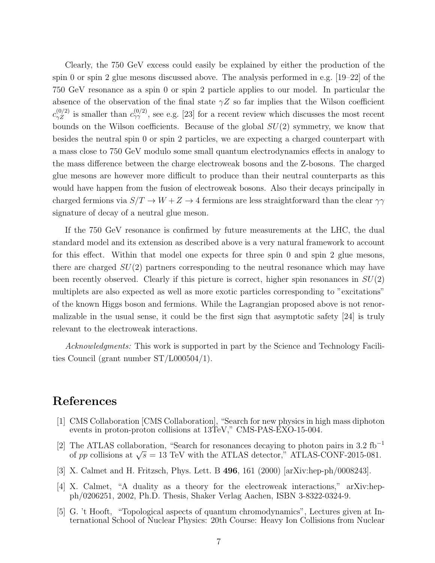Clearly, the 750 GeV excess could easily be explained by either the production of the spin 0 or spin 2 glue mesons discussed above. The analysis performed in e.g. [19–22] of the 750 GeV resonance as a spin 0 or spin 2 particle applies to our model. In particular the absence of the observation of the final state  $\gamma Z$  so far implies that the Wilson coefficient  $c_{\gamma Z}^{(0/2)}$  is smaller than  $c_{\gamma\gamma}^{(0/2)}$ , see e.g. [23] for a recent review which discusses the most recent bounds on the Wilson coefficients. Because of the global  $SU(2)$  symmetry, we know that besides the neutral spin 0 or spin 2 particles, we are expecting a charged counterpart with a mass close to 750 GeV modulo some small quantum electrodynamics effects in analogy to the mass difference between the charge electroweak bosons and the Z-bosons. The charged glue mesons are however more difficult to produce than their neutral counterparts as this would have happen from the fusion of electroweak bosons. Also their decays principally in charged fermions via  $S/T \to W + Z \to 4$  fermions are less straightforward than the clear  $\gamma\gamma$ signature of decay of a neutral glue meson.

If the 750 GeV resonance is confirmed by future measurements at the LHC, the dual standard model and its extension as described above is a very natural framework to account for this effect. Within that model one expects for three spin 0 and spin 2 glue mesons, there are charged  $SU(2)$  partners corresponding to the neutral resonance which may have been recently observed. Clearly if this picture is correct, higher spin resonances in  $SU(2)$ multiplets are also expected as well as more exotic particles corresponding to "excitations" of the known Higgs boson and fermions. While the Lagrangian proposed above is not renormalizable in the usual sense, it could be the first sign that asymptotic safety [24] is truly relevant to the electroweak interactions.

Acknowledgments: This work is supported in part by the Science and Technology Facilities Council (grant number ST/L000504/1).

### References

- [1] CMS Collaboration [CMS Collaboration], "Search for new physics in high mass diphoton events in proton-proton collisions at 13TeV," CMS-PAS-EXO-15-004.
- [2] The ATLAS collaboration, "Search for resonances decaying to photon pairs in 3.2 fb<sup>-1</sup> of pp collisions at  $\sqrt{s} = 13$  TeV with the ATLAS detector," ATLAS-CONF-2015-081.
- [3] X. Calmet and H. Fritzsch, Phys. Lett. B 496, 161 (2000) [arXiv:hep-ph/0008243].
- [4] X. Calmet, "A duality as a theory for the electroweak interactions," arXiv:hepph/0206251, 2002, Ph.D. Thesis, Shaker Verlag Aachen, ISBN 3-8322-0324-9.
- [5] G. 't Hooft, "Topological aspects of quantum chromodynamics", Lectures given at International School of Nuclear Physics: 20th Course: Heavy Ion Collisions from Nuclear